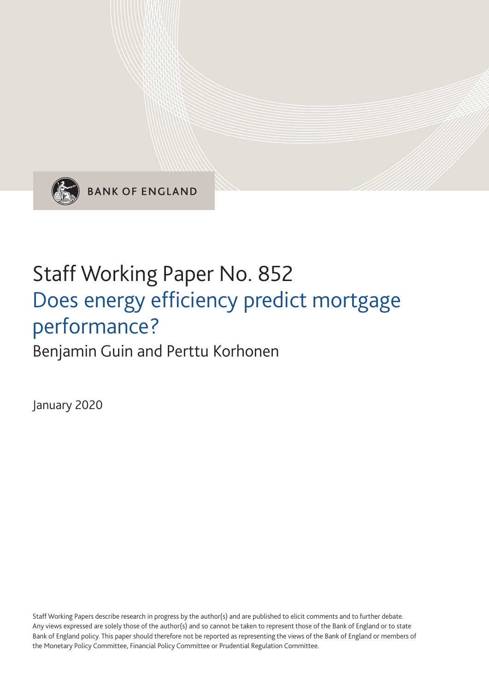

**BANK OF ENGLAND** 

# Staff Working Paper No. 852 Does energy efficiency predict mortgage performance?

Benjamin Guin and Perttu Korhonen

January 2020

Staff Working Papers describe research in progress by the author(s) and are published to elicit comments and to further debate. Any views expressed are solely those of the author(s) and so cannot be taken to represent those of the Bank of England or to state Bank of England policy. This paper should therefore not be reported as representing the views of the Bank of England or members of the Monetary Policy Committee, Financial Policy Committee or Prudential Regulation Committee.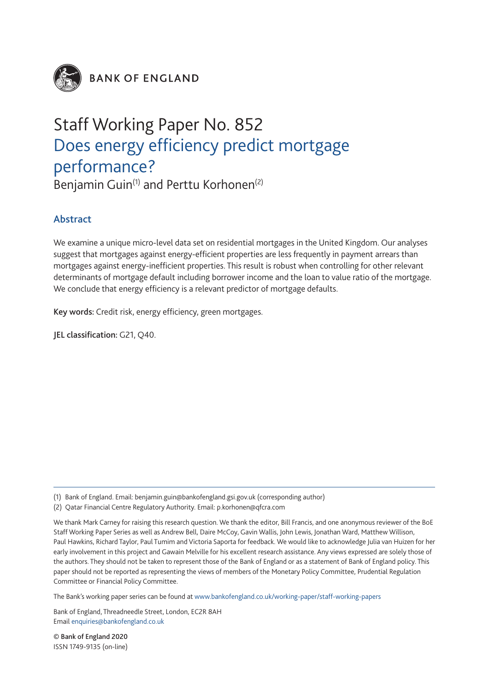

**BANK OF ENGLAND** 

## Staff Working Paper No. 852 Does energy efficiency predict mortgage performance?

Benjamin Guin<sup>(1)</sup> and Perttu Korhonen<sup>(2)</sup>

#### Abstract

We examine a unique micro-level data set on residential mortgages in the United Kingdom. Our analyses suggest that mortgages against energy-efficient properties are less frequently in payment arrears than mortgages against energy-inefficient properties. This result is robust when controlling for other relevant determinants of mortgage default including borrower income and the loan to value ratio of the mortgage. We conclude that energy efficiency is a relevant predictor of mortgage defaults.

Key words: Credit risk, energy efficiency, green mortgages.

JEL classification: G21, Q40.

The Bank's working paper series can be found at www.bankofengland.co.uk/working-paper/staff-working-papers

Bank of England, Threadneedle Street, London, EC2R 8AH Email enquiries@bankofengland.co.uk

© Bank of England 2020 ISSN 1749-9135 (on-line)

<sup>(1)</sup> Bank of England. Email: benjamin.guin@bankofengland.gsi.gov.uk (corresponding author)

<sup>(2)</sup> Qatar Financial Centre Regulatory Authority. Email: p.korhonen@qfcra.com

We thank Mark Carney for raising this research question. We thank the editor, Bill Francis, and one anonymous reviewer of the BoE Staff Working Paper Series as well as Andrew Bell, Daire McCoy, Gavin Wallis, John Lewis, Jonathan Ward, Matthew Willison, Paul Hawkins, Richard Taylor, Paul Tumim and Victoria Saporta for feedback. We would like to acknowledge Julia van Huizen for her early involvement in this project and Gawain Melville for his excellent research assistance. Any views expressed are solely those of the authors. They should not be taken to represent those of the Bank of England or as a statement of Bank of England policy. This paper should not be reported as representing the views of members of the Monetary Policy Committee, Prudential Regulation Committee or Financial Policy Committee.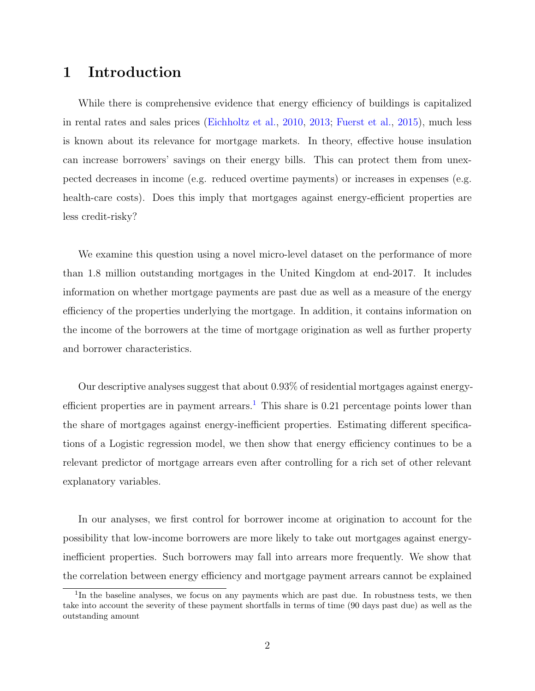#### 1 Introduction

While there is comprehensive evidence that energy efficiency of buildings is capitalized in rental rates and sales prices [\(Eichholtz et al.,](#page-14-0) [2010,](#page-14-0) [2013;](#page-15-0) [Fuerst et al.,](#page-15-1) [2015\)](#page-15-1), much less is known about its relevance for mortgage markets. In theory, effective house insulation can increase borrowers' savings on their energy bills. This can protect them from unexpected decreases in income (e.g. reduced overtime payments) or increases in expenses (e.g. health-care costs). Does this imply that mortgages against energy-efficient properties are less credit-risky?

We examine this question using a novel micro-level dataset on the performance of more than 1.8 million outstanding mortgages in the United Kingdom at end-2017. It includes information on whether mortgage payments are past due as well as a measure of the energy efficiency of the properties underlying the mortgage. In addition, it contains information on the income of the borrowers at the time of mortgage origination as well as further property and borrower characteristics.

Our descriptive analyses suggest that about 0.93% of residential mortgages against energy-efficient properties are in payment arrears.<sup>[1](#page-2-0)</sup> This share is 0.21 percentage points lower than the share of mortgages against energy-inefficient properties. Estimating different specifications of a Logistic regression model, we then show that energy efficiency continues to be a relevant predictor of mortgage arrears even after controlling for a rich set of other relevant explanatory variables.

In our analyses, we first control for borrower income at origination to account for the possibility that low-income borrowers are more likely to take out mortgages against energyinefficient properties. Such borrowers may fall into arrears more frequently. We show that the correlation between energy efficiency and mortgage payment arrears cannot be explained

<span id="page-2-0"></span><sup>&</sup>lt;sup>1</sup>In the baseline analyses, we focus on any payments which are past due. In robustness tests, we then take into account the severity of these payment shortfalls in terms of time (90 days past due) as well as the outstanding amount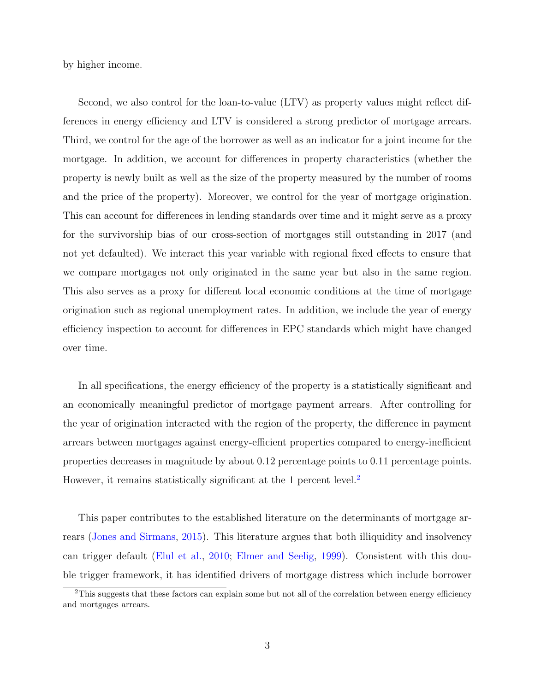by higher income.

Second, we also control for the loan-to-value (LTV) as property values might reflect differences in energy efficiency and LTV is considered a strong predictor of mortgage arrears. Third, we control for the age of the borrower as well as an indicator for a joint income for the mortgage. In addition, we account for differences in property characteristics (whether the property is newly built as well as the size of the property measured by the number of rooms and the price of the property). Moreover, we control for the year of mortgage origination. This can account for differences in lending standards over time and it might serve as a proxy for the survivorship bias of our cross-section of mortgages still outstanding in 2017 (and not yet defaulted). We interact this year variable with regional fixed effects to ensure that we compare mortgages not only originated in the same year but also in the same region. This also serves as a proxy for different local economic conditions at the time of mortgage origination such as regional unemployment rates. In addition, we include the year of energy efficiency inspection to account for differences in EPC standards which might have changed over time.

In all specifications, the energy efficiency of the property is a statistically significant and an economically meaningful predictor of mortgage payment arrears. After controlling for the year of origination interacted with the region of the property, the difference in payment arrears between mortgages against energy-efficient properties compared to energy-inefficient properties decreases in magnitude by about 0.12 percentage points to 0.11 percentage points. However, it remains statistically significant at the 1 percent level.<sup>[2](#page-3-0)</sup>

This paper contributes to the established literature on the determinants of mortgage arrears [\(Jones and Sirmans,](#page-15-2) [2015\)](#page-15-2). This literature argues that both illiquidity and insolvency can trigger default [\(Elul et al.,](#page-15-3) [2010;](#page-15-3) [Elmer and Seelig,](#page-15-4) [1999\)](#page-15-4). Consistent with this double trigger framework, it has identified drivers of mortgage distress which include borrower

<span id="page-3-0"></span><sup>&</sup>lt;sup>2</sup>This suggests that these factors can explain some but not all of the correlation between energy efficiency and mortgages arrears.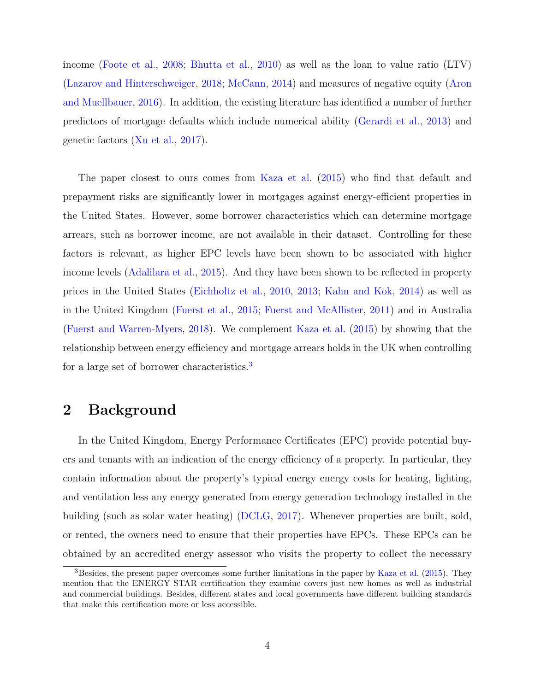income [\(Foote et al.,](#page-15-5) [2008;](#page-15-5) [Bhutta et al.,](#page-14-1) [2010\)](#page-14-1) as well as the loan to value ratio (LTV) [\(Lazarov and Hinterschweiger,](#page-16-0) [2018;](#page-16-0) [McCann,](#page-16-1) [2014\)](#page-16-1) and measures of negative equity [\(Aron](#page-14-2) [and Muellbauer,](#page-14-2) [2016\)](#page-14-2). In addition, the existing literature has identified a number of further predictors of mortgage defaults which include numerical ability [\(Gerardi et al.,](#page-15-6) [2013\)](#page-15-6) and genetic factors [\(Xu et al.,](#page-16-2) [2017\)](#page-16-2).

The paper closest to ours comes from [Kaza et al.](#page-15-7) [\(2015\)](#page-15-7) who find that default and prepayment risks are significantly lower in mortgages against energy-efficient properties in the United States. However, some borrower characteristics which can determine mortgage arrears, such as borrower income, are not available in their dataset. Controlling for these factors is relevant, as higher EPC levels have been shown to be associated with higher income levels [\(Adalilara et al.,](#page-14-3) [2015\)](#page-14-3). And they have been shown to be reflected in property prices in the United States [\(Eichholtz et al.,](#page-14-0) [2010,](#page-14-0) [2013;](#page-15-0) [Kahn and Kok,](#page-15-8) [2014\)](#page-15-8) as well as in the United Kingdom [\(Fuerst et al.,](#page-15-1) [2015;](#page-15-1) [Fuerst and McAllister,](#page-15-9) [2011\)](#page-15-9) and in Australia [\(Fuerst and Warren-Myers,](#page-15-10) [2018\)](#page-15-10). We complement [Kaza et al.](#page-15-7) [\(2015\)](#page-15-7) by showing that the relationship between energy efficiency and mortgage arrears holds in the UK when controlling for a large set of borrower characteristics.[3](#page-4-0)

#### 2 Background

In the United Kingdom, Energy Performance Certificates (EPC) provide potential buyers and tenants with an indication of the energy efficiency of a property. In particular, they contain information about the property's typical energy energy costs for heating, lighting, and ventilation less any energy generated from energy generation technology installed in the building (such as solar water heating) [\(DCLG,](#page-14-4) [2017\)](#page-14-4). Whenever properties are built, sold, or rented, the owners need to ensure that their properties have EPCs. These EPCs can be obtained by an accredited energy assessor who visits the property to collect the necessary

<span id="page-4-0"></span><sup>3</sup>Besides, the present paper overcomes some further limitations in the paper by [Kaza et al.](#page-15-7) [\(2015\)](#page-15-7). They mention that the ENERGY STAR certification they examine covers just new homes as well as industrial and commercial buildings. Besides, different states and local governments have different building standards that make this certification more or less accessible.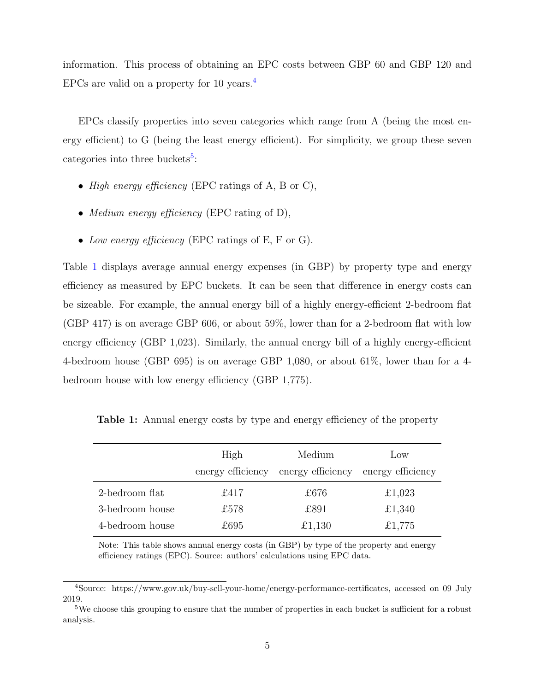information. This process of obtaining an EPC costs between GBP 60 and GBP 120 and EPCs are valid on a property for 10 years.<sup>[4](#page-5-0)</sup>

EPCs classify properties into seven categories which range from A (being the most energy efficient) to G (being the least energy efficient). For simplicity, we group these seven categories into three buckets<sup>[5](#page-5-1)</sup>:

- High energy efficiency (EPC ratings of A, B or C),
- *Medium energy efficiency* (EPC rating of D),
- Low energy efficiency (EPC ratings of E, F or G).

Table [1](#page-5-2) displays average annual energy expenses (in GBP) by property type and energy efficiency as measured by EPC buckets. It can be seen that difference in energy costs can be sizeable. For example, the annual energy bill of a highly energy-efficient 2-bedroom flat (GBP 417) is on average GBP 606, or about 59%, lower than for a 2-bedroom flat with low energy efficiency (GBP 1,023). Similarly, the annual energy bill of a highly energy-efficient 4-bedroom house (GBP 695) is on average GBP 1,080, or about 61%, lower than for a 4 bedroom house with low energy efficiency (GBP 1,775).

<span id="page-5-2"></span>Table 1: Annual energy costs by type and energy efficiency of the property

|                 | High<br>energy efficiency | Medium<br>energy efficiency energy efficiency | $_{\text{Low}}$ |
|-----------------|---------------------------|-----------------------------------------------|-----------------|
| 2-bedroom flat  | £417                      | £676                                          | £1,023          |
| 3-bedroom house | £578                      | £891                                          | £1,340          |
| 4-bedroom house | £695                      | £1,130                                        | £1,775          |

Note: This table shows annual energy costs (in GBP) by type of the property and energy efficiency ratings (EPC). Source: authors' calculations using EPC data.

<span id="page-5-0"></span><sup>4</sup>Source: https://www.gov.uk/buy-sell-your-home/energy-performance-certificates, accessed on 09 July 2019.

<span id="page-5-1"></span><sup>&</sup>lt;sup>5</sup>We choose this grouping to ensure that the number of properties in each bucket is sufficient for a robust analysis.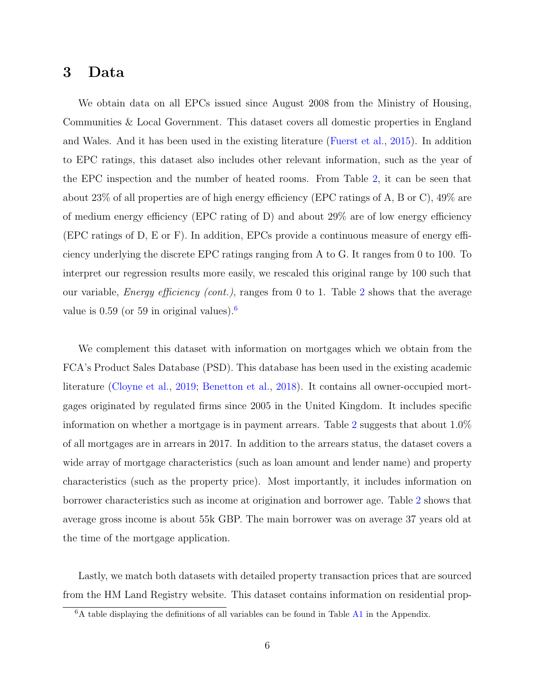#### 3 Data

We obtain data on all EPCs issued since August 2008 from the Ministry of Housing, Communities & Local Government. This dataset covers all domestic properties in England and Wales. And it has been used in the existing literature [\(Fuerst et al.,](#page-15-1) [2015\)](#page-15-1). In addition to EPC ratings, this dataset also includes other relevant information, such as the year of the EPC inspection and the number of heated rooms. From Table [2,](#page-7-0) it can be seen that about 23% of all properties are of high energy efficiency (EPC ratings of A, B or C), 49% are of medium energy efficiency (EPC rating of D) and about  $29\%$  are of low energy efficiency (EPC ratings of D, E or F). In addition, EPCs provide a continuous measure of energy efficiency underlying the discrete EPC ratings ranging from A to G. It ranges from 0 to 100. To interpret our regression results more easily, we rescaled this original range by 100 such that our variable, *Energy efficiency (cont.)*, ranges from 0 to 1. Table [2](#page-7-0) shows that the average value is  $0.59$  (or 59 in original values).<sup>[6](#page-6-0)</sup>

We complement this dataset with information on mortgages which we obtain from the FCA's Product Sales Database (PSD). This database has been used in the existing academic literature [\(Cloyne et al.,](#page-14-5) [2019;](#page-14-5) [Benetton et al.,](#page-14-6) [2018\)](#page-14-6). It contains all owner-occupied mortgages originated by regulated firms since 2005 in the United Kingdom. It includes specific information on whether a mortgage is in payment arrears. Table [2](#page-7-0) suggests that about 1.0% of all mortgages are in arrears in 2017. In addition to the arrears status, the dataset covers a wide array of mortgage characteristics (such as loan amount and lender name) and property characteristics (such as the property price). Most importantly, it includes information on borrower characteristics such as income at origination and borrower age. Table [2](#page-7-0) shows that average gross income is about 55k GBP. The main borrower was on average 37 years old at the time of the mortgage application.

Lastly, we match both datasets with detailed property transaction prices that are sourced from the HM Land Registry website. This dataset contains information on residential prop-

<span id="page-6-0"></span><sup>&</sup>lt;sup>6</sup>A table displaying the definitions of all variables can be found in Table [A1](#page-17-0) in the Appendix.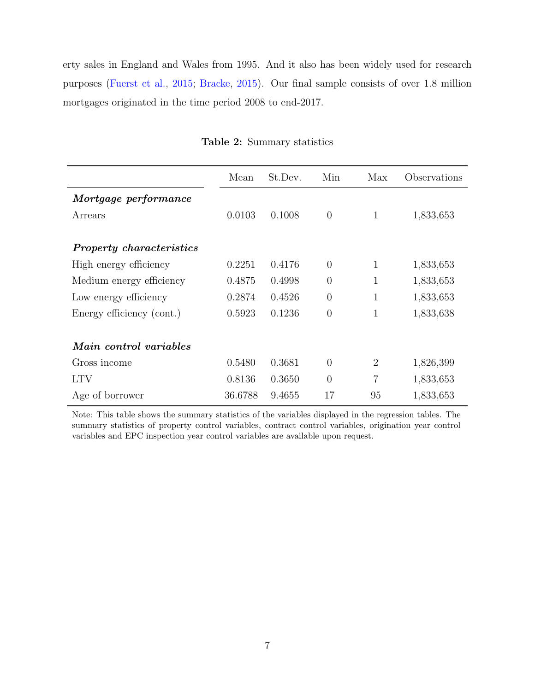erty sales in England and Wales from 1995. And it also has been widely used for research purposes [\(Fuerst et al.,](#page-15-1) [2015;](#page-15-1) [Bracke,](#page-14-7) [2015\)](#page-14-7). Our final sample consists of over 1.8 million mortgages originated in the time period 2008 to end-2017.

<span id="page-7-0"></span>

|                                 | Mean    | St.Dev. | Min            | Max            | Observations |
|---------------------------------|---------|---------|----------------|----------------|--------------|
| Mortgage performance            |         |         |                |                |              |
| Arrears                         | 0.0103  | 0.1008  | $\overline{0}$ | 1              | 1,833,653    |
| <b>Property characteristics</b> |         |         |                |                |              |
| High energy efficiency          | 0.2251  | 0.4176  | $\overline{0}$ | 1              | 1,833,653    |
| Medium energy efficiency        | 0.4875  | 0.4998  | $\overline{0}$ | $\mathbf{1}$   | 1,833,653    |
| Low energy efficiency           | 0.2874  | 0.4526  | $\overline{0}$ | 1              | 1,833,653    |
| Energy efficiency (cont.)       | 0.5923  | 0.1236  | $\overline{0}$ | $\mathbf{1}$   | 1,833,638    |
| Main control variables          |         |         |                |                |              |
| Gross income                    | 0.5480  | 0.3681  | $\theta$       | 2              | 1,826,399    |
| <b>LTV</b>                      | 0.8136  | 0.3650  | $\theta$       | $\overline{7}$ | 1,833,653    |
| Age of borrower                 | 36.6788 | 9.4655  | 17             | 95             | 1,833,653    |

Table 2: Summary statistics

Note: This table shows the summary statistics of the variables displayed in the regression tables. The summary statistics of property control variables, contract control variables, origination year control variables and EPC inspection year control variables are available upon request.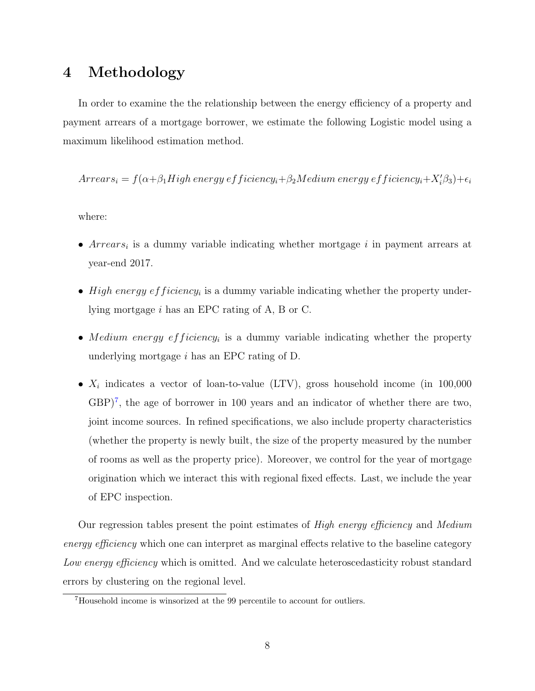#### 4 Methodology

In order to examine the the relationship between the energy efficiency of a property and payment arrears of a mortgage borrower, we estimate the following Logistic model using a maximum likelihood estimation method.

 $Arrears_i = f(\alpha + \beta_1 High\ energy\ efficiency_i + \beta_2 Medium\ energy\ efficiency_i + X_i'\beta_3) + \epsilon_i$ 

where:

- $Arrears_i$  is a dummy variable indicating whether mortgage i in payment arrears at year-end 2017.
- High energy efficiency<sub>i</sub> is a dummy variable indicating whether the property underlying mortgage i has an EPC rating of A, B or C.
- Medium energy efficiency<sub>i</sub> is a dummy variable indicating whether the property underlying mortgage i has an EPC rating of D.
- $X_i$  indicates a vector of loan-to-value (LTV), gross household income (in 100,000  $GBP$ <sup>[7](#page-8-0)</sup>, the age of borrower in 100 years and an indicator of whether there are two, joint income sources. In refined specifications, we also include property characteristics (whether the property is newly built, the size of the property measured by the number of rooms as well as the property price). Moreover, we control for the year of mortgage origination which we interact this with regional fixed effects. Last, we include the year of EPC inspection.

Our regression tables present the point estimates of  $High$  energy efficiency and Medium energy efficiency which one can interpret as marginal effects relative to the baseline category Low energy efficiency which is omitted. And we calculate heteroscedasticity robust standard errors by clustering on the regional level.

<span id="page-8-0"></span><sup>7</sup>Household income is winsorized at the 99 percentile to account for outliers.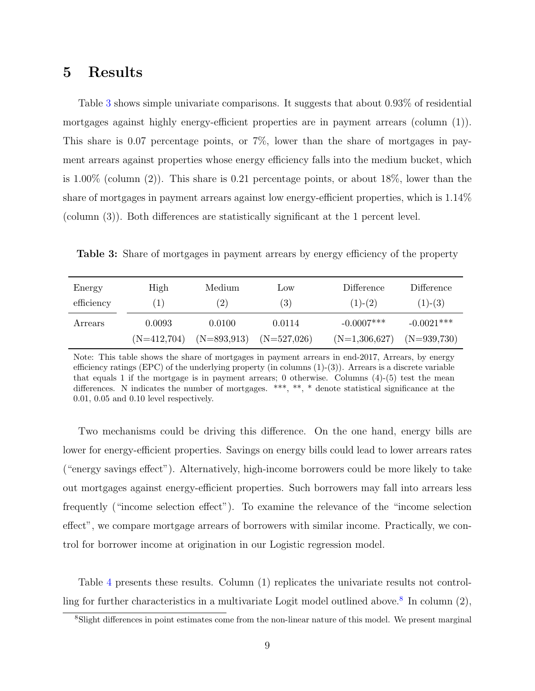#### 5 Results

Table [3](#page-9-0) shows simple univariate comparisons. It suggests that about 0.93% of residential mortgages against highly energy-efficient properties are in payment arrears (column (1)). This share is 0.07 percentage points, or 7%, lower than the share of mortgages in payment arrears against properties whose energy efficiency falls into the medium bucket, which is 1.00% (column (2)). This share is 0.21 percentage points, or about 18%, lower than the share of mortgages in payment arrears against low energy-efficient properties, which is 1.14% (column (3)). Both differences are statistically significant at the 1 percent level.

<span id="page-9-0"></span>Table 3: Share of mortgages in payment arrears by energy efficiency of the property

| Energy     | High             | Medium        | $_{\text{LOW}}$ | Difference      | Difference    |
|------------|------------------|---------------|-----------------|-----------------|---------------|
| efficiency | $\left(1\right)$ | (2)           | (3)             | $(1)-(2)$       | $(1)-(3)$     |
| Arrears    | 0.0093           | 0.0100        | 0.0114          | $-0.0007***$    | $-0.0021***$  |
|            | $(N=412,704)$    | $(N=893,913)$ | $(N=527,026)$   | $(N=1,306,627)$ | $(N=939,730)$ |

Note: This table shows the share of mortgages in payment arrears in end-2017, Arrears, by energy efficiency ratings (EPC) of the underlying property (in columns  $(1)-(3)$ ). Arrears is a discrete variable that equals 1 if the mortgage is in payment arrears; 0 otherwise. Columns  $(4)$ - $(5)$  test the mean differences. N indicates the number of mortgages. \*\*\*, \*\*, \* denote statistical significance at the 0.01, 0.05 and 0.10 level respectively.

Two mechanisms could be driving this difference. On the one hand, energy bills are lower for energy-efficient properties. Savings on energy bills could lead to lower arrears rates ("energy savings effect"). Alternatively, high-income borrowers could be more likely to take out mortgages against energy-efficient properties. Such borrowers may fall into arrears less frequently ("income selection effect"). To examine the relevance of the "income selection effect", we compare mortgage arrears of borrowers with similar income. Practically, we control for borrower income at origination in our Logistic regression model.

Table [4](#page-11-0) presents these results. Column (1) replicates the univariate results not control-ling for further characteristics in a multivariate Logit model outlined above.<sup>[8](#page-9-1)</sup> In column  $(2)$ ,

<span id="page-9-1"></span><sup>8</sup>Slight differences in point estimates come from the non-linear nature of this model. We present marginal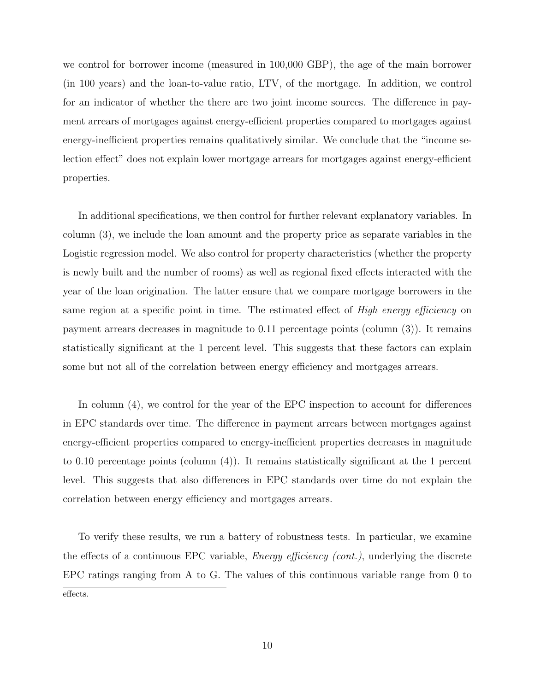we control for borrower income (measured in 100,000 GBP), the age of the main borrower (in 100 years) and the loan-to-value ratio, LTV, of the mortgage. In addition, we control for an indicator of whether the there are two joint income sources. The difference in payment arrears of mortgages against energy-efficient properties compared to mortgages against energy-inefficient properties remains qualitatively similar. We conclude that the "income selection effect" does not explain lower mortgage arrears for mortgages against energy-efficient properties.

In additional specifications, we then control for further relevant explanatory variables. In column (3), we include the loan amount and the property price as separate variables in the Logistic regression model. We also control for property characteristics (whether the property is newly built and the number of rooms) as well as regional fixed effects interacted with the year of the loan origination. The latter ensure that we compare mortgage borrowers in the same region at a specific point in time. The estimated effect of *High energy efficiency* on payment arrears decreases in magnitude to 0.11 percentage points (column (3)). It remains statistically significant at the 1 percent level. This suggests that these factors can explain some but not all of the correlation between energy efficiency and mortgages arrears.

In column (4), we control for the year of the EPC inspection to account for differences in EPC standards over time. The difference in payment arrears between mortgages against energy-efficient properties compared to energy-inefficient properties decreases in magnitude to 0.10 percentage points (column (4)). It remains statistically significant at the 1 percent level. This suggests that also differences in EPC standards over time do not explain the correlation between energy efficiency and mortgages arrears.

To verify these results, we run a battery of robustness tests. In particular, we examine the effects of a continuous EPC variable, Energy efficiency (cont.), underlying the discrete EPC ratings ranging from A to G. The values of this continuous variable range from 0 to effects.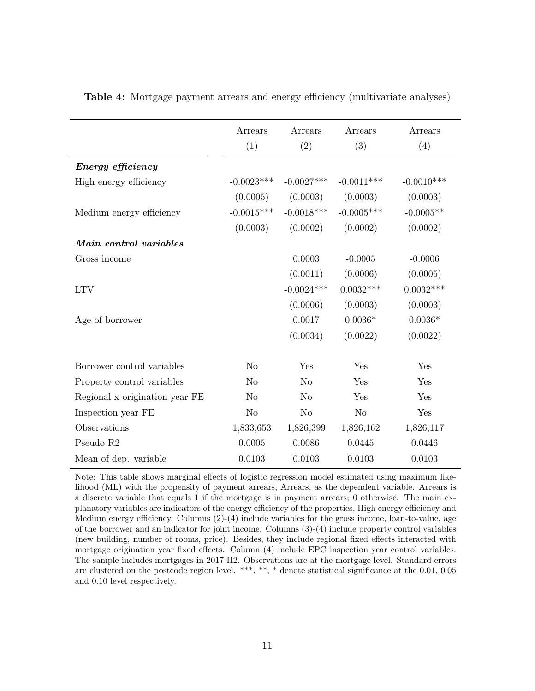|                                | Arrears<br>(1) | Arrears<br>(2) | Arrears<br>(3) | Arrears<br>(4) |
|--------------------------------|----------------|----------------|----------------|----------------|
| Energy efficiency              |                |                |                |                |
| High energy efficiency         | $-0.0023***$   | $-0.0027***$   | $-0.0011***$   | $-0.0010***$   |
|                                | (0.0005)       | (0.0003)       | (0.0003)       | (0.0003)       |
| Medium energy efficiency       | $-0.0015***$   | $-0.0018***$   | $-0.0005***$   | $-0.0005**$    |
|                                | (0.0003)       | (0.0002)       | (0.0002)       | (0.0002)       |
| Main control variables         |                |                |                |                |
| Gross income                   |                | 0.0003         | $-0.0005$      | $-0.0006$      |
|                                |                | (0.0011)       | (0.0006)       | (0.0005)       |
| <b>LTV</b>                     |                | $-0.0024***$   | $0.0032***$    | $0.0032***$    |
|                                |                | (0.0006)       | (0.0003)       | (0.0003)       |
| Age of borrower                |                | 0.0017         | $0.0036*$      | $0.0036*$      |
|                                |                | (0.0034)       | (0.0022)       | (0.0022)       |
| Borrower control variables     | N <sub>o</sub> | Yes            | Yes            | Yes            |
| Property control variables     | N <sub>o</sub> | N <sub>o</sub> | Yes            | Yes            |
| Regional x origination year FE | N <sub>o</sub> | N <sub>o</sub> | Yes            | Yes            |
| Inspection year FE             | N <sub>o</sub> | N <sub>o</sub> | N <sub>o</sub> | Yes            |
| Observations                   | 1,833,653      | 1,826,399      | 1,826,162      | 1,826,117      |
| Pseudo R <sub>2</sub>          | 0.0005         | 0.0086         | 0.0445         | 0.0446         |
| Mean of dep. variable          | 0.0103         | 0.0103         | 0.0103         | 0.0103         |

<span id="page-11-0"></span>Table 4: Mortgage payment arrears and energy efficiency (multivariate analyses)

Note: This table shows marginal effects of logistic regression model estimated using maximum likelihood (ML) with the propensity of payment arrears, Arrears, as the dependent variable. Arrears is a discrete variable that equals 1 if the mortgage is in payment arrears; 0 otherwise. The main explanatory variables are indicators of the energy efficiency of the properties, High energy efficiency and Medium energy efficiency. Columns (2)-(4) include variables for the gross income, loan-to-value, age of the borrower and an indicator for joint income. Columns (3)-(4) include property control variables (new building, number of rooms, price). Besides, they include regional fixed effects interacted with mortgage origination year fixed effects. Column (4) include EPC inspection year control variables. The sample includes mortgages in 2017 H2. Observations are at the mortgage level. Standard errors are clustered on the postcode region level. \*\*\*, \*\*, \* denote statistical significance at the 0.01, 0.05 and 0.10 level respectively.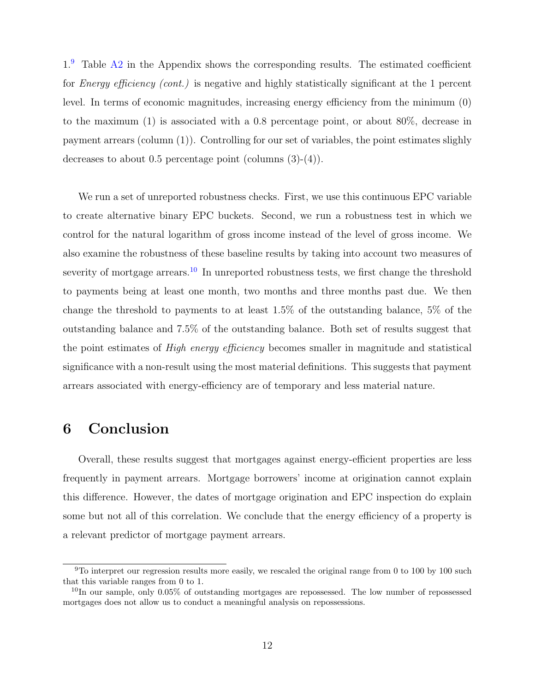$1<sup>9</sup>$  $1<sup>9</sup>$  $1<sup>9</sup>$  Table [A2](#page-18-0) in the Appendix shows the corresponding results. The estimated coefficient for *Energy efficiency (cont.)* is negative and highly statistically significant at the 1 percent level. In terms of economic magnitudes, increasing energy efficiency from the minimum (0) to the maximum (1) is associated with a 0.8 percentage point, or about 80%, decrease in payment arrears (column (1)). Controlling for our set of variables, the point estimates slighly decreases to about 0.5 percentage point (columns (3)-(4)).

We run a set of unreported robustness checks. First, we use this continuous EPC variable to create alternative binary EPC buckets. Second, we run a robustness test in which we control for the natural logarithm of gross income instead of the level of gross income. We also examine the robustness of these baseline results by taking into account two measures of severity of mortgage arrears.<sup>[10](#page-12-1)</sup> In unreported robustness tests, we first change the threshold to payments being at least one month, two months and three months past due. We then change the threshold to payments to at least 1.5% of the outstanding balance, 5% of the outstanding balance and 7.5% of the outstanding balance. Both set of results suggest that the point estimates of High energy efficiency becomes smaller in magnitude and statistical significance with a non-result using the most material definitions. This suggests that payment arrears associated with energy-efficiency are of temporary and less material nature.

### 6 Conclusion

Overall, these results suggest that mortgages against energy-efficient properties are less frequently in payment arrears. Mortgage borrowers' income at origination cannot explain this difference. However, the dates of mortgage origination and EPC inspection do explain some but not all of this correlation. We conclude that the energy efficiency of a property is a relevant predictor of mortgage payment arrears.

<span id="page-12-0"></span> $9T$ o interpret our regression results more easily, we rescaled the original range from 0 to 100 by 100 such that this variable ranges from 0 to 1.

<span id="page-12-1"></span> $10$ In our sample, only 0.05% of outstanding mortgages are repossessed. The low number of repossessed mortgages does not allow us to conduct a meaningful analysis on repossessions.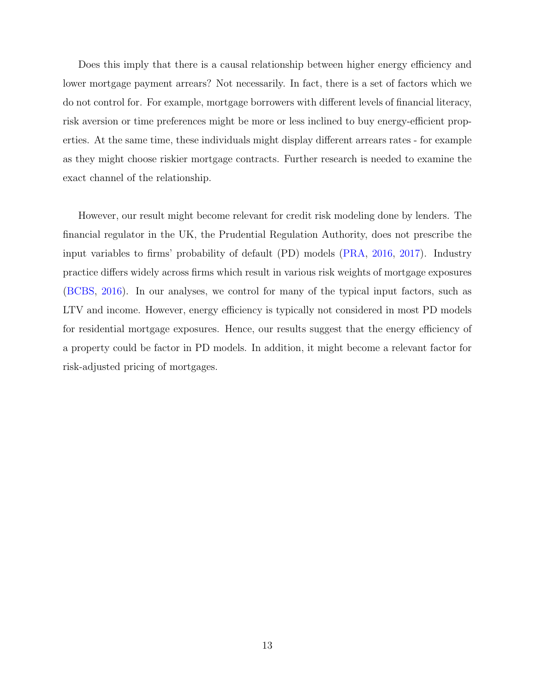Does this imply that there is a causal relationship between higher energy efficiency and lower mortgage payment arrears? Not necessarily. In fact, there is a set of factors which we do not control for. For example, mortgage borrowers with different levels of financial literacy, risk aversion or time preferences might be more or less inclined to buy energy-efficient properties. At the same time, these individuals might display different arrears rates - for example as they might choose riskier mortgage contracts. Further research is needed to examine the exact channel of the relationship.

However, our result might become relevant for credit risk modeling done by lenders. The financial regulator in the UK, the Prudential Regulation Authority, does not prescribe the input variables to firms' probability of default (PD) models [\(PRA,](#page-16-3) [2016,](#page-16-3) [2017\)](#page-16-4). Industry practice differs widely across firms which result in various risk weights of mortgage exposures [\(BCBS,](#page-14-8) [2016\)](#page-14-8). In our analyses, we control for many of the typical input factors, such as LTV and income. However, energy efficiency is typically not considered in most PD models for residential mortgage exposures. Hence, our results suggest that the energy efficiency of a property could be factor in PD models. In addition, it might become a relevant factor for risk-adjusted pricing of mortgages.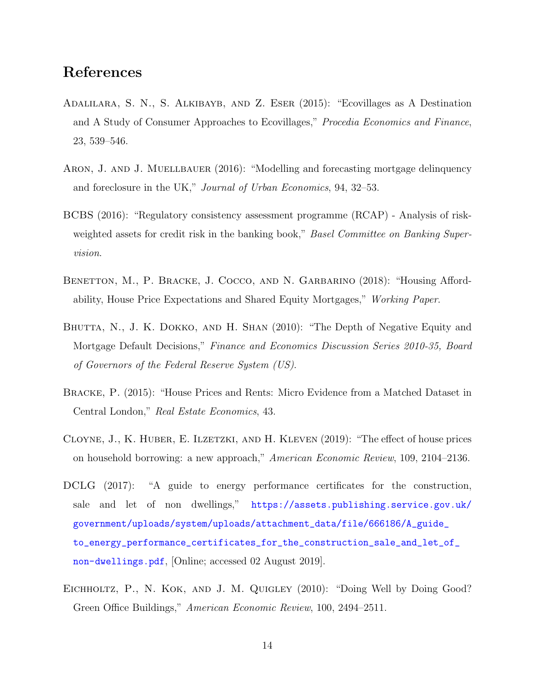#### References

- <span id="page-14-3"></span>Adalilara, S. N., S. Alkibayb, and Z. Eser (2015): "Ecovillages as A Destination and A Study of Consumer Approaches to Ecovillages," Procedia Economics and Finance, 23, 539–546.
- <span id="page-14-2"></span>ARON, J. AND J. MUELLBAUER (2016): "Modelling and forecasting mortgage delinquency and foreclosure in the UK," Journal of Urban Economics, 94, 32–53.
- <span id="page-14-8"></span>BCBS (2016): "Regulatory consistency assessment programme (RCAP) - Analysis of riskweighted assets for credit risk in the banking book," Basel Committee on Banking Supervision.
- <span id="page-14-6"></span>BENETTON, M., P. BRACKE, J. COCCO, AND N. GARBARINO (2018): "Housing Affordability, House Price Expectations and Shared Equity Mortgages," Working Paper.
- <span id="page-14-1"></span>BHUTTA, N., J. K. DOKKO, AND H. SHAN (2010): "The Depth of Negative Equity and Mortgage Default Decisions," Finance and Economics Discussion Series 2010-35, Board of Governors of the Federal Reserve System (US).
- <span id="page-14-7"></span>Bracke, P. (2015): "House Prices and Rents: Micro Evidence from a Matched Dataset in Central London," Real Estate Economics, 43.
- <span id="page-14-5"></span>CLOYNE, J., K. HUBER, E. ILZETZKI, AND H. KLEVEN (2019): "The effect of house prices on household borrowing: a new approach," American Economic Review, 109, 2104–2136.
- <span id="page-14-4"></span>DCLG (2017): "A guide to energy performance certificates for the construction, sale and let of non dwellings," [https://assets.publishing.service.gov.uk/](https://assets.publishing.service.gov.uk/government/uploads/system/uploads/attachment_data/file/666186/A_guide_to_energy_performance_certificates_for_the_construction_sale_and_let_of_non-dwellings.pdf) [government/uploads/system/uploads/attachment\\_data/file/666186/A\\_guide\\_](https://assets.publishing.service.gov.uk/government/uploads/system/uploads/attachment_data/file/666186/A_guide_to_energy_performance_certificates_for_the_construction_sale_and_let_of_non-dwellings.pdf) [to\\_energy\\_performance\\_certificates\\_for\\_the\\_construction\\_sale\\_and\\_let\\_of\\_](https://assets.publishing.service.gov.uk/government/uploads/system/uploads/attachment_data/file/666186/A_guide_to_energy_performance_certificates_for_the_construction_sale_and_let_of_non-dwellings.pdf) [non-dwellings.pdf](https://assets.publishing.service.gov.uk/government/uploads/system/uploads/attachment_data/file/666186/A_guide_to_energy_performance_certificates_for_the_construction_sale_and_let_of_non-dwellings.pdf), [Online; accessed 02 August 2019].
- <span id="page-14-0"></span>EICHHOLTZ, P., N. KOK, AND J. M. QUIGLEY (2010): "Doing Well by Doing Good? Green Office Buildings," American Economic Review, 100, 2494–2511.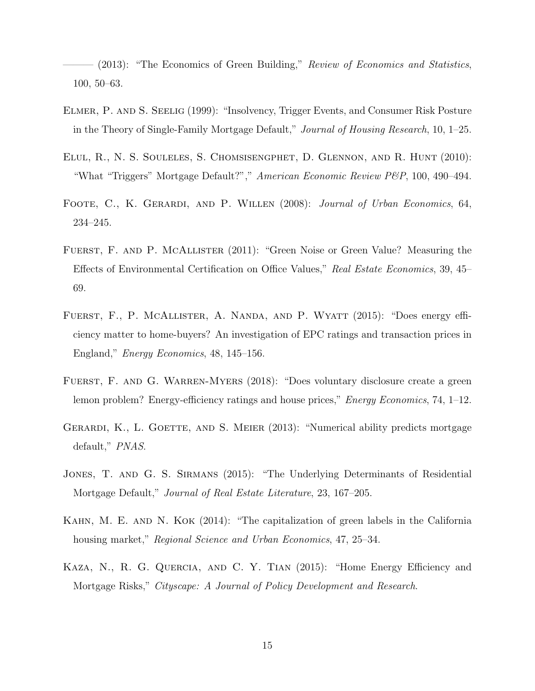<span id="page-15-0"></span>– (2013): "The Economics of Green Building," Review of Economics and Statistics, 100, 50–63.

- <span id="page-15-4"></span>Elmer, P. and S. Seelig (1999): "Insolvency, Trigger Events, and Consumer Risk Posture in the Theory of Single-Family Mortgage Default," Journal of Housing Research, 10, 1–25.
- <span id="page-15-3"></span>Elul, R., N. S. Souleles, S. Chomsisengphet, D. Glennon, and R. Hunt (2010): "What "Triggers" Mortgage Default?"," American Economic Review P&P, 100, 490–494.
- <span id="page-15-5"></span>FOOTE, C., K. GERARDI, AND P. WILLEN (2008): Journal of Urban Economics, 64, 234–245.
- <span id="page-15-9"></span>FUERST, F. AND P. MCALLISTER (2011): "Green Noise or Green Value? Measuring the Effects of Environmental Certification on Office Values," Real Estate Economics, 39, 45– 69.
- <span id="page-15-1"></span>FUERST, F., P. MCALLISTER, A. NANDA, AND P. WYATT (2015): "Does energy efficiency matter to home-buyers? An investigation of EPC ratings and transaction prices in England," Energy Economics, 48, 145–156.
- <span id="page-15-10"></span>FUERST, F. AND G. WARREN-MYERS (2018): "Does voluntary disclosure create a green lemon problem? Energy-efficiency ratings and house prices," *Energy Economics*, 74,  $1-12$ .
- <span id="page-15-6"></span>GERARDI, K., L. GOETTE, AND S. MEIER (2013): "Numerical ability predicts mortgage default," PNAS.
- <span id="page-15-2"></span>JONES, T. AND G. S. SIRMANS (2015): "The Underlying Determinants of Residential Mortgage Default," Journal of Real Estate Literature, 23, 167–205.
- <span id="page-15-8"></span>KAHN, M. E. AND N. KOK (2014): "The capitalization of green labels in the California housing market," Regional Science and Urban Economics, 47, 25–34.
- <span id="page-15-7"></span>Kaza, N., R. G. Quercia, and C. Y. Tian (2015): "Home Energy Efficiency and Mortgage Risks," Cityscape: A Journal of Policy Development and Research.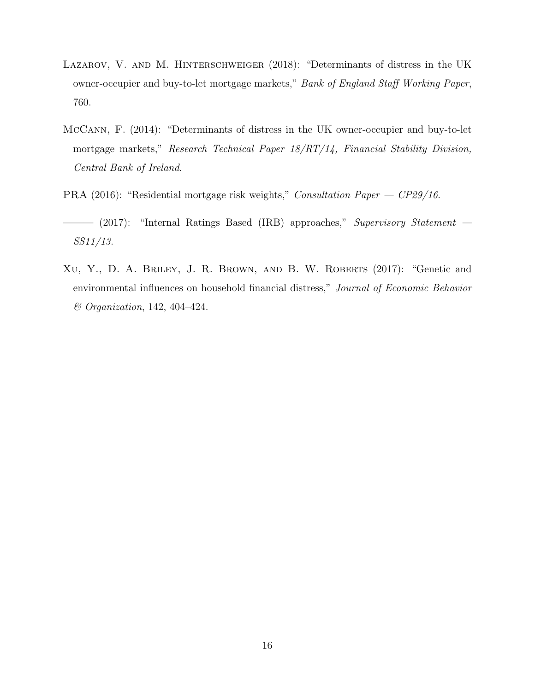- <span id="page-16-0"></span>LAZAROV, V. AND M. HINTERSCHWEIGER (2018): "Determinants of distress in the UK owner-occupier and buy-to-let mortgage markets," Bank of England Staff Working Paper, 760.
- <span id="page-16-1"></span>McCann, F. (2014): "Determinants of distress in the UK owner-occupier and buy-to-let mortgage markets," Research Technical Paper  $18/RT/14$ , Financial Stability Division, Central Bank of Ireland.
- <span id="page-16-3"></span>PRA (2016): "Residential mortgage risk weights," Consultation Paper — CP29/16.
- <span id="page-16-4"></span>——— (2017): "Internal Ratings Based (IRB) approaches," Supervisory Statement — SS11/13.
- <span id="page-16-2"></span>XU, Y., D. A. BRILEY, J. R. BROWN, AND B. W. ROBERTS (2017): "Genetic and environmental influences on household financial distress," Journal of Economic Behavior & Organization, 142, 404–424.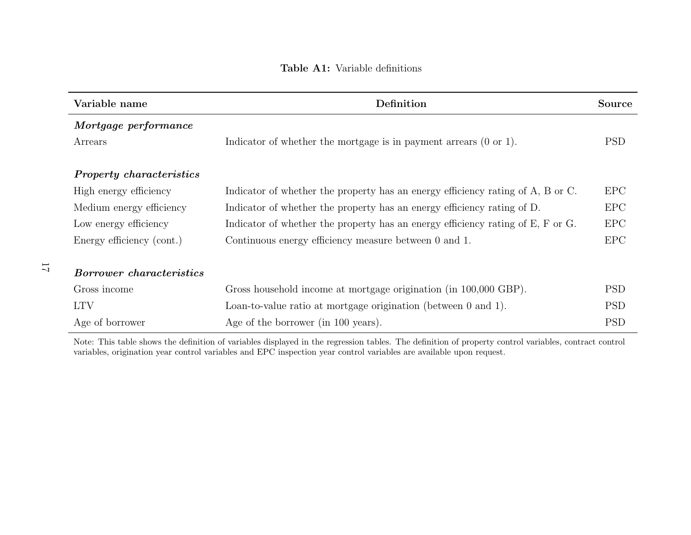#### Table A1: Variable definitions

| Variable name                   | Definition                                                                      | <b>Source</b> |
|---------------------------------|---------------------------------------------------------------------------------|---------------|
| Mortgage performance            |                                                                                 |               |
| Arrears                         | Indicator of whether the mortgage is in payment arrears $(0 \text{ or } 1)$ .   | <b>PSD</b>    |
|                                 |                                                                                 |               |
| <b>Property characteristics</b> |                                                                                 |               |
| High energy efficiency          | Indicator of whether the property has an energy efficiency rating of A, B or C. | <b>EPC</b>    |
| Medium energy efficiency        | Indicator of whether the property has an energy efficiency rating of D.         | <b>EPC</b>    |
| Low energy efficiency           | Indicator of whether the property has an energy efficiency rating of E, F or G. | <b>EPC</b>    |
| Energy efficiency (cont.)       | Continuous energy efficiency measure between 0 and 1.                           | EPC           |
|                                 |                                                                                 |               |
| <b>Borrower</b> characteristics |                                                                                 |               |
| Gross income                    | Gross household income at mortgage origination (in 100,000 GBP).                | <b>PSD</b>    |
| <b>LTV</b>                      | Loan-to-value ratio at mortgage origination (between 0 and 1).                  | <b>PSD</b>    |
| Age of borrower                 | Age of the borrower (in 100 years).                                             | <b>PSD</b>    |

<span id="page-17-0"></span>Note: This table shows the definition of variables displayed in the regression tables. The definition of property control variables, contract controlvariables, origination year control variables and EPC inspection year control variables are available upon request.